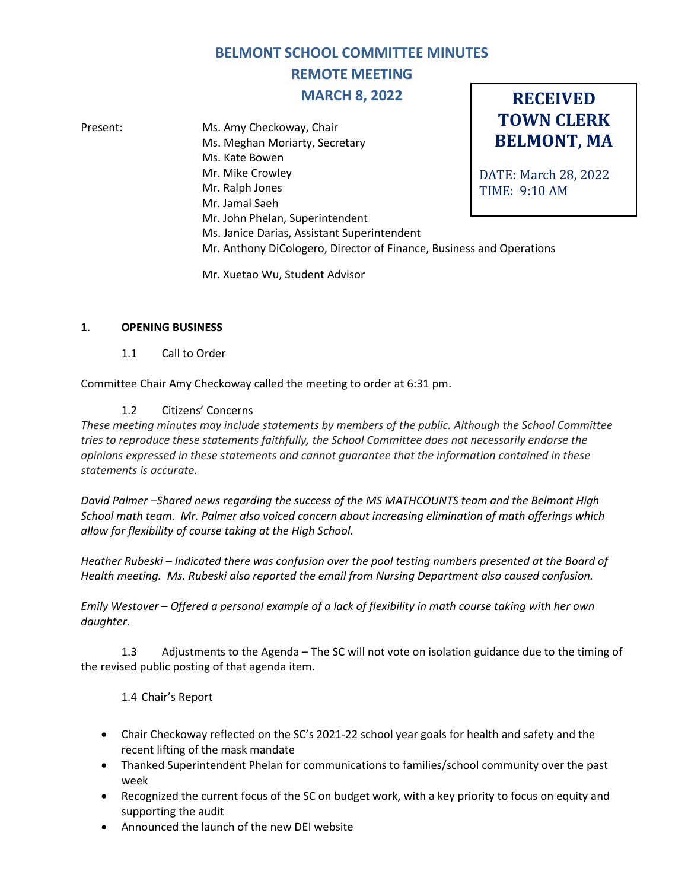# **BELMONT SCHOOL COMMITTEE MINUTES REMOTE MEETING MARCH 8, 2022**

**RECEIVED**

**TOWN CLERK BELMONT, MA** DATE: March 28, 2022 TIME: 9:10 AM Present: Ms. Amy Checkoway, Chair Ms. Meghan Moriarty, Secretary Ms. Kate Bowen Mr. Mike Crowley Mr. Ralph Jones Mr. Jamal Saeh Mr. John Phelan, Superintendent Ms. Janice Darias, Assistant Superintendent Mr. Anthony DiCologero, Director of Finance, Business and Operations

Mr. Xuetao Wu, Student Advisor

## **1**. **OPENING BUSINESS**

1.1 Call to Order

Committee Chair Amy Checkoway called the meeting to order at 6:31 pm.

### 1.2 Citizens' Concerns

*These meeting minutes may include statements by members of the public. Although the School Committee tries to reproduce these statements faithfully, the School Committee does not necessarily endorse the opinions expressed in these statements and cannot guarantee that the information contained in these statements is accurate.*

*David Palmer –Shared news regarding the success of the MS MATHCOUNTS team and the Belmont High School math team. Mr. Palmer also voiced concern about increasing elimination of math offerings which allow for flexibility of course taking at the High School.* 

*Heather Rubeski – Indicated there was confusion over the pool testing numbers presented at the Board of Health meeting. Ms. Rubeski also reported the email from Nursing Department also caused confusion.*

*Emily Westover – Offered a personal example of a lack of flexibility in math course taking with her own daughter.*

1.3 Adjustments to the Agenda – The SC will not vote on isolation guidance due to the timing of the revised public posting of that agenda item.

1.4 Chair's Report

- Chair Checkoway reflected on the SC's 2021-22 school year goals for health and safety and the recent lifting of the mask mandate
- Thanked Superintendent Phelan for communications to families/school community over the past week
- Recognized the current focus of the SC on budget work, with a key priority to focus on equity and supporting the audit
- Announced the launch of the new DEI website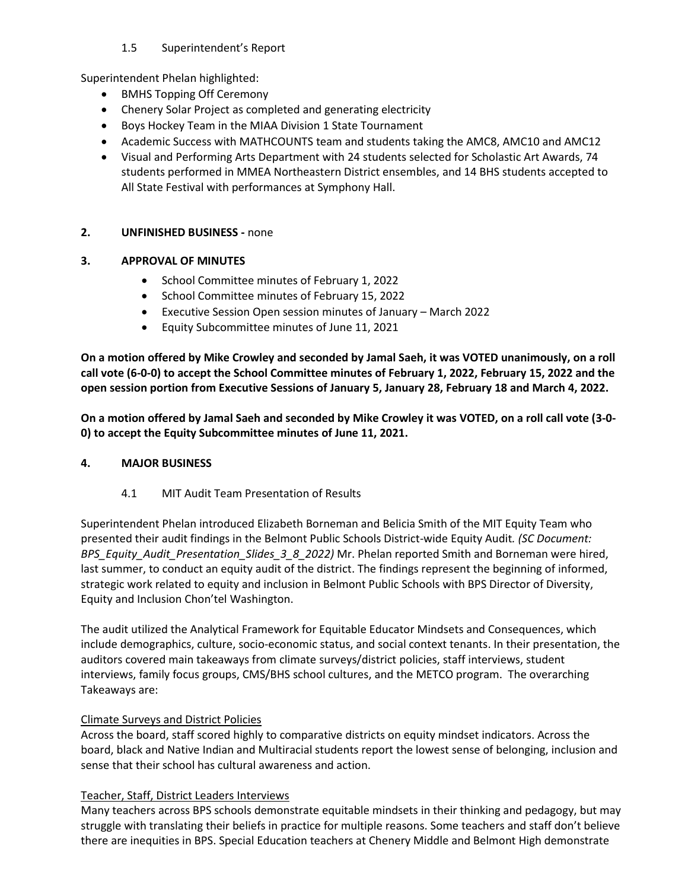# 1.5 Superintendent's Report

Superintendent Phelan highlighted:

- BMHS Topping Off Ceremony
- Chenery Solar Project as completed and generating electricity
- Boys Hockey Team in the MIAA Division 1 State Tournament
- Academic Success with MATHCOUNTS team and students taking the AMC8, AMC10 and AMC12
- Visual and Performing Arts Department with 24 students selected for Scholastic Art Awards, 74 students performed in MMEA Northeastern District ensembles, and 14 BHS students accepted to All State Festival with performances at Symphony Hall.

# **2. UNFINISHED BUSINESS -** none

## **3. APPROVAL OF MINUTES**

- School Committee minutes of February 1, 2022
- School Committee minutes of February 15, 2022
- Executive Session Open session minutes of January March 2022
- Equity Subcommittee minutes of June 11, 2021

**On a motion offered by Mike Crowley and seconded by Jamal Saeh, it was VOTED unanimously, on a roll call vote (6-0-0) to accept the School Committee minutes of February 1, 2022, February 15, 2022 and the open session portion from Executive Sessions of January 5, January 28, February 18 and March 4, 2022.**

**On a motion offered by Jamal Saeh and seconded by Mike Crowley it was VOTED, on a roll call vote (3-0- 0) to accept the Equity Subcommittee minutes of June 11, 2021.**

### **4. MAJOR BUSINESS**

4.1 MIT Audit Team Presentation of Results

Superintendent Phelan introduced Elizabeth Borneman and Belicia Smith of the MIT Equity Team who presented their audit findings in the Belmont Public Schools District-wide Equity Audit*. (SC Document: BPS\_Equity\_Audit\_Presentation\_Slides\_3\_8\_2022)* Mr. Phelan reported Smith and Borneman were hired, last summer, to conduct an equity audit of the district. The findings represent the beginning of informed, strategic work related to equity and inclusion in Belmont Public Schools with BPS Director of Diversity, Equity and Inclusion Chon'tel Washington.

The audit utilized the Analytical Framework for Equitable Educator Mindsets and Consequences, which include demographics, culture, socio-economic status, and social context tenants. In their presentation, the auditors covered main takeaways from climate surveys/district policies, staff interviews, student interviews, family focus groups, CMS/BHS school cultures, and the METCO program. The overarching Takeaways are:

# Climate Surveys and District Policies

Across the board, staff scored highly to comparative districts on equity mindset indicators. Across the board, black and Native Indian and Multiracial students report the lowest sense of belonging, inclusion and sense that their school has cultural awareness and action.

# Teacher, Staff, District Leaders Interviews

Many teachers across BPS schools demonstrate equitable mindsets in their thinking and pedagogy, but may struggle with translating their beliefs in practice for multiple reasons. Some teachers and staff don't believe there are inequities in BPS. Special Education teachers at Chenery Middle and Belmont High demonstrate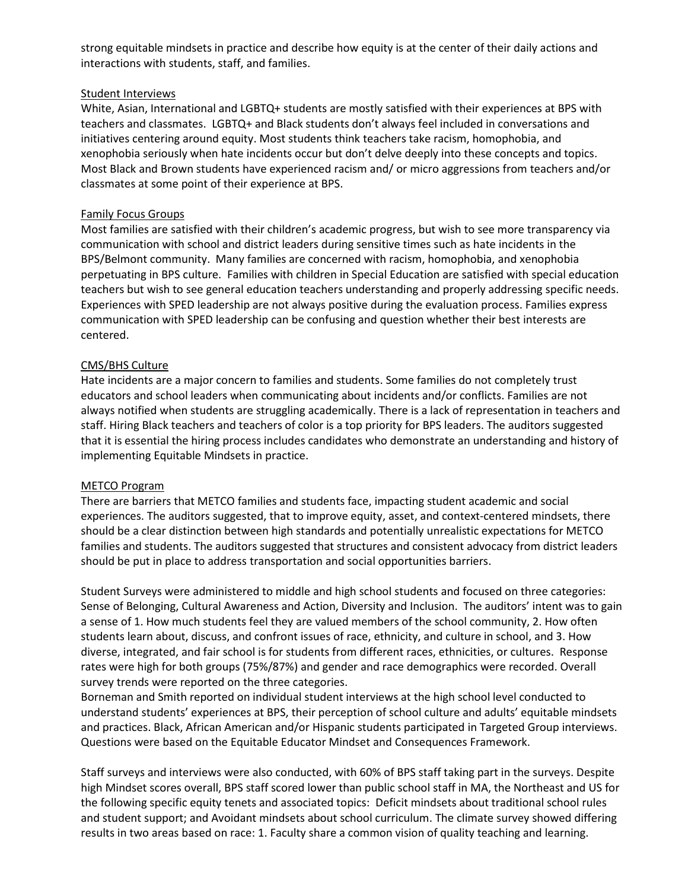strong equitable mindsets in practice and describe how equity is at the center of their daily actions and interactions with students, staff, and families.

#### Student Interviews

White, Asian, International and LGBTQ+ students are mostly satisfied with their experiences at BPS with teachers and classmates. LGBTQ+ and Black students don't always feel included in conversations and initiatives centering around equity. Most students think teachers take racism, homophobia, and xenophobia seriously when hate incidents occur but don't delve deeply into these concepts and topics. Most Black and Brown students have experienced racism and/ or micro aggressions from teachers and/or classmates at some point of their experience at BPS.

#### Family Focus Groups

Most families are satisfied with their children's academic progress, but wish to see more transparency via communication with school and district leaders during sensitive times such as hate incidents in the BPS/Belmont community. Many families are concerned with racism, homophobia, and xenophobia perpetuating in BPS culture. Families with children in Special Education are satisfied with special education teachers but wish to see general education teachers understanding and properly addressing specific needs. Experiences with SPED leadership are not always positive during the evaluation process. Families express communication with SPED leadership can be confusing and question whether their best interests are centered.

### CMS/BHS Culture

Hate incidents are a major concern to families and students. Some families do not completely trust educators and school leaders when communicating about incidents and/or conflicts. Families are not always notified when students are struggling academically. There is a lack of representation in teachers and staff. Hiring Black teachers and teachers of color is a top priority for BPS leaders. The auditors suggested that it is essential the hiring process includes candidates who demonstrate an understanding and history of implementing Equitable Mindsets in practice.

#### METCO Program

There are barriers that METCO families and students face, impacting student academic and social experiences. The auditors suggested, that to improve equity, asset, and context-centered mindsets, there should be a clear distinction between high standards and potentially unrealistic expectations for METCO families and students. The auditors suggested that structures and consistent advocacy from district leaders should be put in place to address transportation and social opportunities barriers.

Student Surveys were administered to middle and high school students and focused on three categories: Sense of Belonging, Cultural Awareness and Action, Diversity and Inclusion. The auditors' intent was to gain a sense of 1. How much students feel they are valued members of the school community, 2. How often students learn about, discuss, and confront issues of race, ethnicity, and culture in school, and 3. How diverse, integrated, and fair school is for students from different races, ethnicities, or cultures. Response rates were high for both groups (75%/87%) and gender and race demographics were recorded. Overall survey trends were reported on the three categories.

Borneman and Smith reported on individual student interviews at the high school level conducted to understand students' experiences at BPS, their perception of school culture and adults' equitable mindsets and practices. Black, African American and/or Hispanic students participated in Targeted Group interviews. Questions were based on the Equitable Educator Mindset and Consequences Framework.

Staff surveys and interviews were also conducted, with 60% of BPS staff taking part in the surveys. Despite high Mindset scores overall, BPS staff scored lower than public school staff in MA, the Northeast and US for the following specific equity tenets and associated topics: Deficit mindsets about traditional school rules and student support; and Avoidant mindsets about school curriculum. The climate survey showed differing results in two areas based on race: 1. Faculty share a common vision of quality teaching and learning.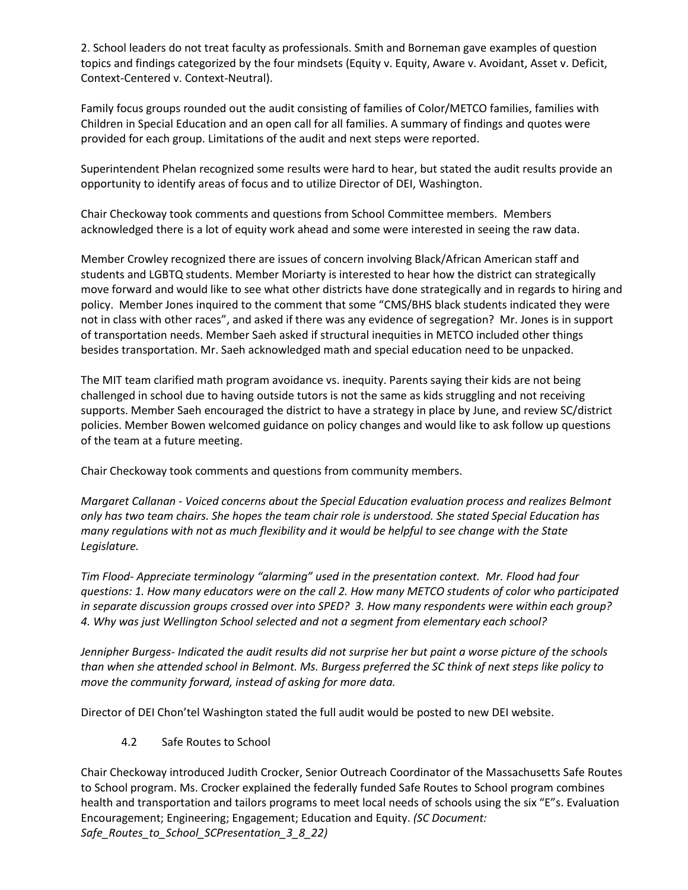2. School leaders do not treat faculty as professionals. Smith and Borneman gave examples of question topics and findings categorized by the four mindsets (Equity v. Equity, Aware v. Avoidant, Asset v. Deficit, Context-Centered v. Context-Neutral).

Family focus groups rounded out the audit consisting of families of Color/METCO families, families with Children in Special Education and an open call for all families. A summary of findings and quotes were provided for each group. Limitations of the audit and next steps were reported.

Superintendent Phelan recognized some results were hard to hear, but stated the audit results provide an opportunity to identify areas of focus and to utilize Director of DEI, Washington.

Chair Checkoway took comments and questions from School Committee members. Members acknowledged there is a lot of equity work ahead and some were interested in seeing the raw data.

Member Crowley recognized there are issues of concern involving Black/African American staff and students and LGBTQ students. Member Moriarty is interested to hear how the district can strategically move forward and would like to see what other districts have done strategically and in regards to hiring and policy. Member Jones inquired to the comment that some "CMS/BHS black students indicated they were not in class with other races", and asked if there was any evidence of segregation? Mr. Jones is in support of transportation needs. Member Saeh asked if structural inequities in METCO included other things besides transportation. Mr. Saeh acknowledged math and special education need to be unpacked.

The MIT team clarified math program avoidance vs. inequity. Parents saying their kids are not being challenged in school due to having outside tutors is not the same as kids struggling and not receiving supports. Member Saeh encouraged the district to have a strategy in place by June, and review SC/district policies. Member Bowen welcomed guidance on policy changes and would like to ask follow up questions of the team at a future meeting.

Chair Checkoway took comments and questions from community members.

*Margaret Callanan - Voiced concerns about the Special Education evaluation process and realizes Belmont only has two team chairs. She hopes the team chair role is understood. She stated Special Education has many regulations with not as much flexibility and it would be helpful to see change with the State Legislature.*

*Tim Flood- Appreciate terminology "alarming" used in the presentation context. Mr. Flood had four questions: 1. How many educators were on the call 2. How many METCO students of color who participated in separate discussion groups crossed over into SPED? 3. How many respondents were within each group? 4. Why was just Wellington School selected and not a segment from elementary each school?*

*Jennipher Burgess- Indicated the audit results did not surprise her but paint a worse picture of the schools than when she attended school in Belmont. Ms. Burgess preferred the SC think of next steps like policy to move the community forward, instead of asking for more data.*

Director of DEI Chon'tel Washington stated the full audit would be posted to new DEI website.

4.2 Safe Routes to School

Chair Checkoway introduced Judith Crocker, Senior Outreach Coordinator of the Massachusetts Safe Routes to School program. Ms. Crocker explained the federally funded Safe Routes to School program combines health and transportation and tailors programs to meet local needs of schools using the six "E"s. Evaluation Encouragement; Engineering; Engagement; Education and Equity. *(SC Document: Safe\_Routes\_to\_School\_SCPresentation\_3\_8\_22)*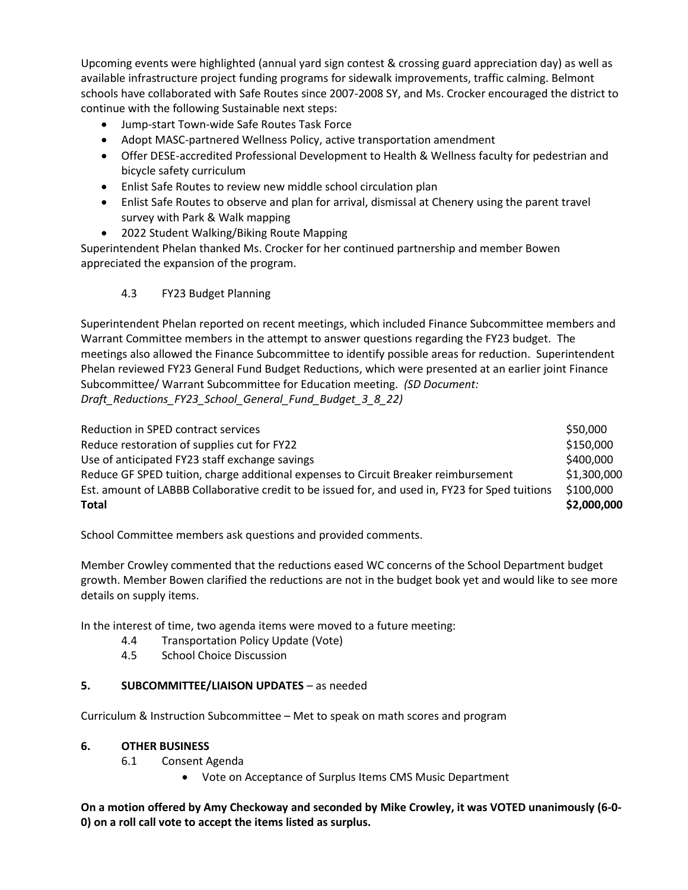Upcoming events were highlighted (annual yard sign contest & crossing guard appreciation day) as well as available infrastructure project funding programs for sidewalk improvements, traffic calming. Belmont schools have collaborated with Safe Routes since 2007-2008 SY, and Ms. Crocker encouraged the district to continue with the following Sustainable next steps:

- Jump-start Town-wide Safe Routes Task Force
- Adopt MASC-partnered Wellness Policy, active transportation amendment
- Offer DESE-accredited Professional Development to Health & Wellness faculty for pedestrian and bicycle safety curriculum
- Enlist Safe Routes to review new middle school circulation plan
- Enlist Safe Routes to observe and plan for arrival, dismissal at Chenery using the parent travel survey with Park & Walk mapping
- 2022 Student Walking/Biking Route Mapping

Superintendent Phelan thanked Ms. Crocker for her continued partnership and member Bowen appreciated the expansion of the program.

4.3 FY23 Budget Planning

Superintendent Phelan reported on recent meetings, which included Finance Subcommittee members and Warrant Committee members in the attempt to answer questions regarding the FY23 budget. The meetings also allowed the Finance Subcommittee to identify possible areas for reduction. Superintendent Phelan reviewed FY23 General Fund Budget Reductions, which were presented at an earlier joint Finance Subcommittee/ Warrant Subcommittee for Education meeting. *(SD Document: Draft\_Reductions\_FY23\_School\_General\_Fund\_Budget\_3\_8\_22)*

Reduction in SPED contract services  $\sim$  850,000  $\sim$ Reduce restoration of supplies cut for FY22  $$150,000$ Use of anticipated FY23 staff exchange savings  $\sim$  \$400,000 \$400,000 Reduce GF SPED tuition, charge additional expenses to Circuit Breaker reimbursement \$1,300,000 Est. amount of LABBB Collaborative credit to be issued for, and used in, FY23 for Sped tuitions \$100,000 **Total \$2,000,000**

School Committee members ask questions and provided comments.

Member Crowley commented that the reductions eased WC concerns of the School Department budget growth. Member Bowen clarified the reductions are not in the budget book yet and would like to see more details on supply items.

In the interest of time, two agenda items were moved to a future meeting:

- 4.4 Transportation Policy Update (Vote)
- 4.5 School Choice Discussion

### **5. SUBCOMMITTEE/LIAISON UPDATES** – as needed

Curriculum & Instruction Subcommittee – Met to speak on math scores and program

### **6. OTHER BUSINESS**

- 6.1 Consent Agenda
	- Vote on Acceptance of Surplus Items CMS Music Department

**On a motion offered by Amy Checkoway and seconded by Mike Crowley, it was VOTED unanimously (6-0- 0) on a roll call vote to accept the items listed as surplus.**